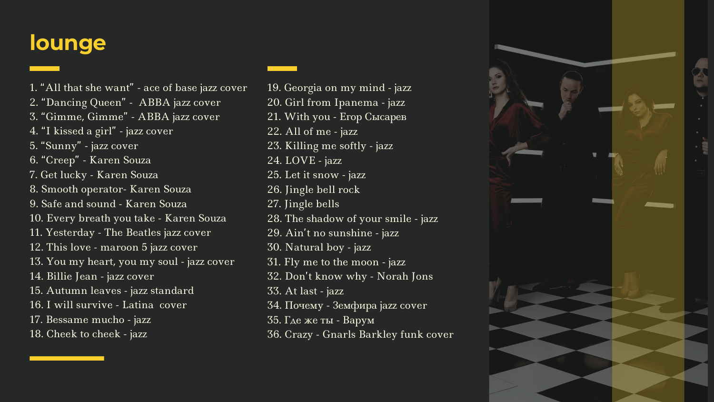## **lounge**

- 1. "All that she want" ace of base jazz cover
- 2. "Dancing Queen " ABBA jazz cover
- 3. "Gimme, Gimme " ABBA jazz cover
- 4. "I kissed a girl" jazz cover
- 5. "Sunny " jazz cover
- 6. "Creep " Karen Souza
- 7. Get lucky Karen Souza
- 8. Smooth operator- Karen Souza
- 9. Safe and sound Karen Souza
- 10. Every breath you take Karen Souza
- 11. Yesterday The Beatles jazz cover
- 12. This love maroon 5 jazz cover
- 13. You my heart, you my soul jazz cover
- 14. Billie Jean jazz cover
- 15. Autumn leaves jazz standard
- 16. I will survive Latina cover
- 17. Bessame mucho jazz
- 18. Cheek to cheek jazz
- 19. Georgia on my mind jazz
- 20. Girl from Ipanema jazz
- 21. With you Егор Сысарев
- 22. All of me jazz
- 23. Killing me softly jazz
- 24. LOVE jazz
- 25. Let it snow jazz
- 26. Jingle bell rock
- 27. Jingle bells
- 28. The shadow of your smile jazz
- 29. Ain 't no sunshine jazz
- 30. Natural boy jazz
- 31. Fly me to the moon jazz
- 32. Don 't know why Norah Jons
- 33. At last jazz
- 34. Почему Земфира jazz cover
- 35. Где же ты Варум
- 36. Crazy Gnarls Barkley funk cover